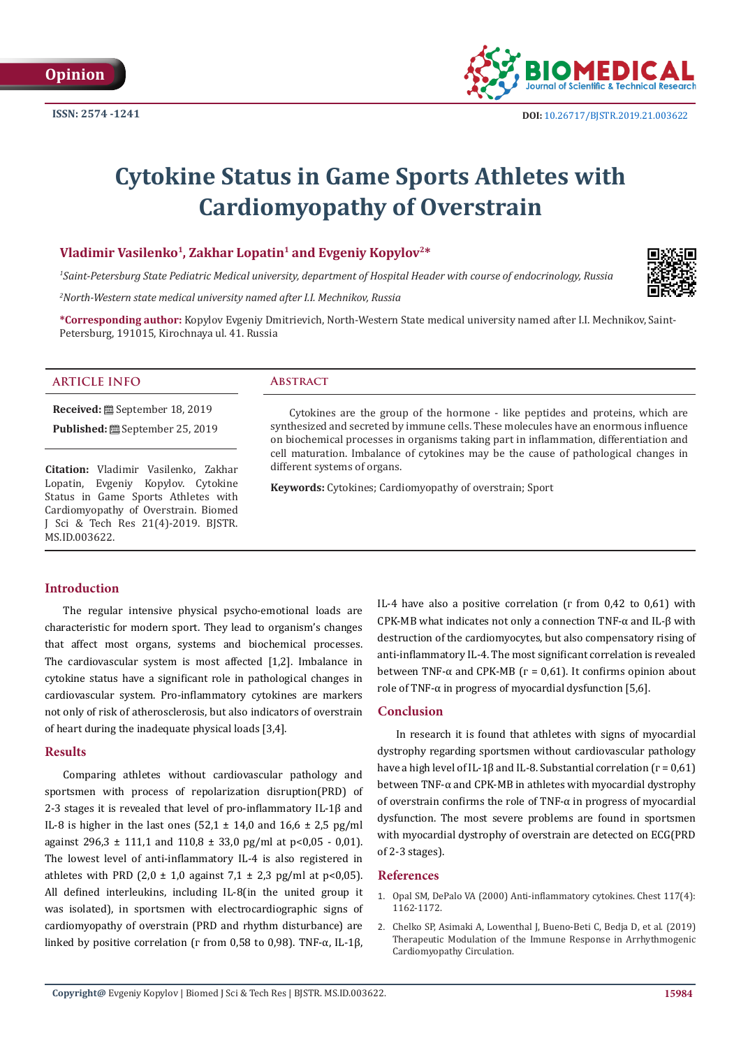

## **Cytokine Status in Game Sports Athletes with Cardiomyopathy of Overstrain**

### Vladimir Vasilenko<sup>1</sup>, Zakhar Lopatin<sup>1</sup> and Evgeniy Kopylov<sup>2\*</sup>

*1 Saint-Petersburg State Pediatric Medical university, department of Hospital Header with course of endocrinology, Russia* 

*2 North-Western state medical university named after I.I. Mechnikov, Russia*

**\*Corresponding author:** Kopylov Evgeniy Dmitrievich, North-Western State medical university named after I.I. Mechnikov, Saint-Petersburg, 191015, Kirochnaya ul. 41. Russia

#### **ARTICLE INFO Abstract**

**Received:** September 18, 2019 **Published:** <sup>8</sup> September 25, 2019

**Citation:** Vladimir Vasilenko, Zakhar Lopatin, Evgeniy Kopylov. Cytokine Status in Game Sports Athletes with Cardiomyopathy of Overstrain. Biomed J Sci & Tech Res 21(4)-2019. BJSTR. MS.ID.003622.

Cytokines are the group of the hormone - like peptides and proteins, which are synthesized and secreted by immune cells. These molecules have an enormous influence on biochemical processes in organisms taking part in inflammation, differentiation and cell maturation. Imbalance of cytokines may be the cause of pathological changes in different systems of organs.

**Keywords:** Cytokines; Cardiomyopathy of overstrain; Sport

#### **Introduction**

The regular intensive physical psycho-emotional loads are characteristic for modern sport. They lead to organism's changes that affect most organs, systems and biochemical processes. The cardiovascular system is most affected [1,2]. Imbalance in cytokine status have a significant role in pathological changes in cardiovascular system. Pro-inflammatory cytokines are markers not only of risk of atherosclerosis, but also indicators of overstrain of heart during the inadequate physical loads [3,4].

#### **Results**

Comparing athletes without cardiovascular pathology and sportsmen with process of repolarization disruption(PRD) of 2-3 stages it is revealed that level of pro-inflammatory IL-1β and IL-8 is higher in the last ones  $(52.1 \pm 14.0 \text{ and } 16.6 \pm 2.5 \text{ pg/ml})$ against 296,3  $\pm$  111,1 and 110,8  $\pm$  33,0 pg/ml at p<0,05 - 0,01). The lowest level of anti-inflammatory IL-4 is also registered in athletes with PRD (2,0  $\pm$  1,0 against 7,1  $\pm$  2,3 pg/ml at p<0,05). All defined interleukins, including IL-8(in the united group it was isolated), in sportsmen with electrocardiographic signs of cardiomyopathy of overstrain (PRD and rhythm disturbance) are linked by positive correlation ( $r$  from 0,58 to 0,98). TNF- $α$ , IL-1β,

IL-4 have also a positive correlation (г from 0,42 to 0,61) with CPK-MB what indicates not only a connection TNF-α and IL-β with destruction of the cardiomyocytes, but also compensatory rising of anti-inflammatory IL-4. The most significant correlation is revealed between TNF- $\alpha$  and CPK-MB ( $r = 0.61$ ). It confirms opinion about role of TNF- $\alpha$  in progress of myocardial dysfunction [5,6].

#### **Conclusion**

In research it is found that athletes with signs of myocardial dystrophy regarding sportsmen without cardiovascular pathology have a high level of IL-1β and IL-8. Substantial correlation ( $r = 0.61$ ) between TNF-α and CPK-MB in athletes with myocardial dystrophy of overstrain confirms the role of TNF-α in progress of myocardial dysfunction. The most severe problems are found in sportsmen with myocardial dystrophy of overstrain are detected on ECG(PRD of 2-3 stages).

#### **References**

- 1. [Opal SM, DePalo VA \(2000\) Anti-inflammatory cytokines. Chest 117\(4\):](https://www.ncbi.nlm.nih.gov/pubmed/10767254) [1162-1172.](https://www.ncbi.nlm.nih.gov/pubmed/10767254)
- 2. [Chelko SP, Asimaki A, Lowenthal J, Bueno-Beti C, Bedja D, et al. \(2019\)](https://ahajournals.org/doi/abs/10.1161/CIRCULATIONAHA.119.040676?af=R) [Therapeutic Modulation of the Immune Response in Arrhythmogenic](https://ahajournals.org/doi/abs/10.1161/CIRCULATIONAHA.119.040676?af=R) [Cardiomyopathy Circulation.](https://ahajournals.org/doi/abs/10.1161/CIRCULATIONAHA.119.040676?af=R)